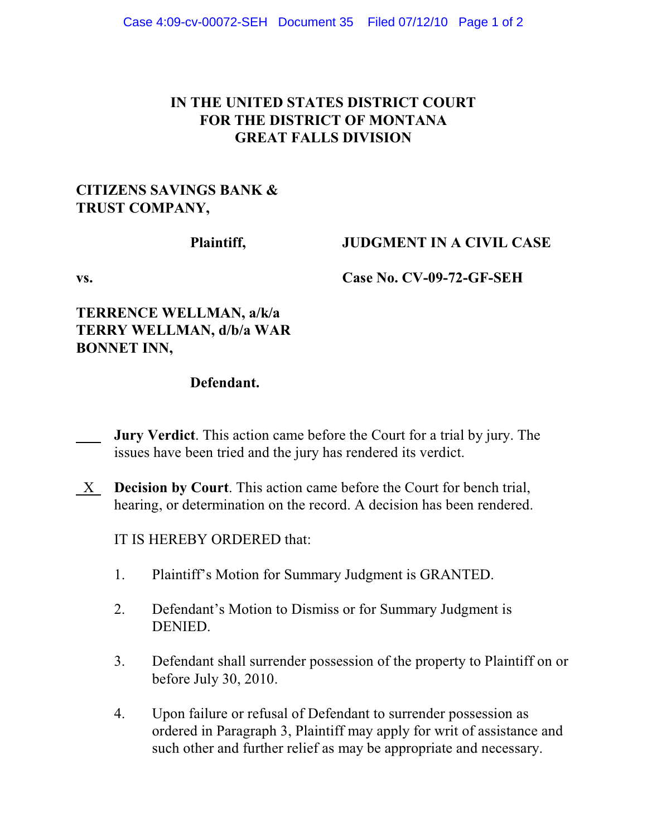# **IN THE UNITED STATES DISTRICT COURT FOR THE DISTRICT OF MONTANA GREAT FALLS DIVISION**

#### **CITIZENS SAVINGS BANK & TRUST COMPANY,**

## **Plaintiff, JUDGMENT IN A CIVIL CASE**

**vs. Case No. CV-09-72-GF-SEH**

# **TERRENCE WELLMAN, a/k/a TERRY WELLMAN, d/b/a WAR BONNET INN,**

# **Defendant.**

- **Jury Verdict**. This action came before the Court for a trial by jury. The issues have been tried and the jury has rendered its verdict.
- X **Decision by Court**. This action came before the Court for bench trial, hearing, or determination on the record. A decision has been rendered.

IT IS HEREBY ORDERED that:

- 1. Plaintiff's Motion for Summary Judgment is GRANTED.
- 2. Defendant's Motion to Dismiss or for Summary Judgment is DENIED.
- 3. Defendant shall surrender possession of the property to Plaintiff on or before July 30, 2010.
- 4. Upon failure or refusal of Defendant to surrender possession as ordered in Paragraph 3, Plaintiff may apply for writ of assistance and such other and further relief as may be appropriate and necessary.